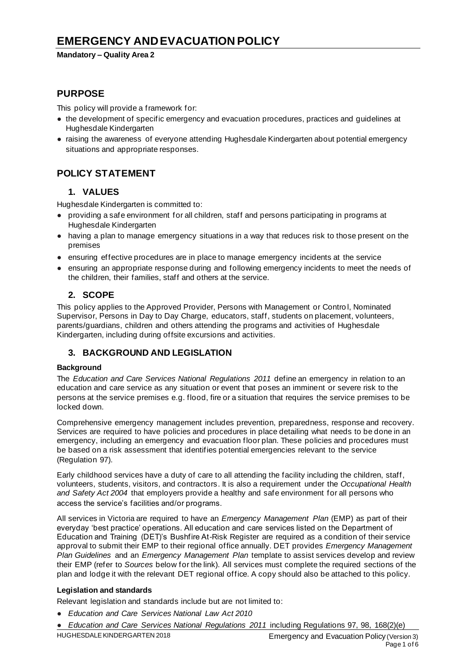### **Mandatory – Quality Area 2**

# **PURPOSE**

This policy will provide a framework for:

- the development of specific emergency and evacuation procedures, practices and guidelines at Hughesdale Kindergarten
- raising the awareness of everyone attending Hughesdale Kindergarten about potential emergency situations and appropriate responses.

# **POLICY STATEMENT**

## **1. VALUES**

Hughesdale Kindergarten is committed to:

- providing a safe environment for all children, staff and persons participating in programs at Hughesdale Kindergarten
- having a plan to manage emergency situations in a way that reduces risk to those present on the premises
- ensuring effective procedures are in place to manage emergency incidents at the service
- ensuring an appropriate response during and following emergency incidents to meet the needs of the children, their families, staff and others at the service.

## **2. SCOPE**

This policy applies to the Approved Provider, Persons with Management or Contro l, Nominated Supervisor, Persons in Day to Day Charge, educators, staff, students on placement, volunteers, parents/guardians, children and others attending the programs and activities of Hughesdale Kindergarten, including during offsite excursions and activities.

## **3. BACKGROUND AND LEGISLATION**

### **Background**

The *Education and Care Services National Regulations 2011* define an emergency in relation to an education and care service as any situation or event that poses an imminent or severe risk to the persons at the service premises e.g. flood, fire or a situation that requires the service premises to be locked down.

Comprehensive emergency management includes prevention, preparedness, response and recovery. Services are required to have policies and procedures in place detailing what needs to be done in an emergency, including an emergency and evacuation floor plan. These policies and procedures must be based on a risk assessment that identifies potential emergencies relevant to the service (Regulation 97).

Early childhood services have a duty of care to all attending the facility including the children, staff, volunteers, students, visitors, and contractors. It is also a requirement under the *Occupational Health and Safety Act 2004* that employers provide a healthy and safe environment for all persons who access the service's facilities and/or programs.

All services in Victoria are required to have an *Emergency Management Plan* (EMP) as part of their everyday 'best practice' operations. All education and care services listed on the Department of Education and Training (DET)'s Bushfire At-Risk Register are required as a condition of their service approval to submit their EMP to their regional office annually. DET provides *Emergency Management Plan Guidelines* and an *Emergency Management Plan* template to assist services develop and review their EMP (refer to *Sources* below for the link). All services must complete the required sections of the plan and lodge it with the relevant DET regional office. A copy should also be attached to this policy.

### **Legislation and standards**

Relevant legislation and standards include but are not limited to:

- *Education and Care Services National Law Act 2010*
- HUGHESDALE KINDERGARTEN 2018 Emergency and Evacuation Policy (Version 3) ● *Education and Care Services National Regulations 2011* including Regulations 97, 98, 168(2)(e)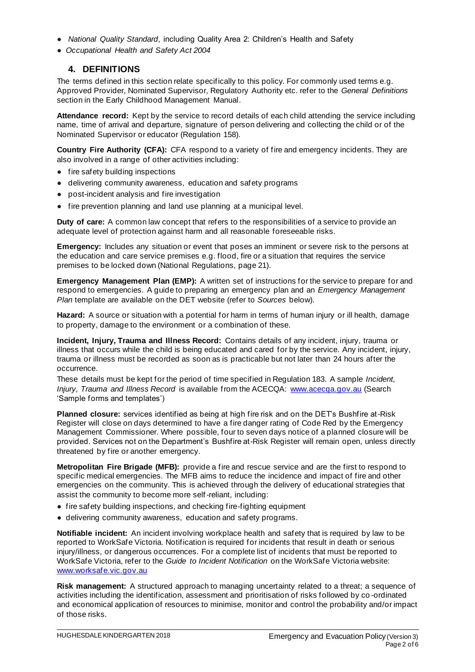- *National Quality Standard*, including Quality Area 2: Children's Health and Safety
- *Occupational Health and Safety Act 2004*

### **4. DEFINITIONS**

The terms defined in this section relate specifically to this policy. For commonly used terms e.g. Approved Provider, Nominated Supervisor, Regulatory Authority etc. refer to the *General Definitions* section in the Early Childhood Management Manual.

**Attendance record:** Kept by the service to record details of each child attending the service including name, time of arrival and departure, signature of person delivering and collecting the child or of the Nominated Supervisor or educator (Regulation 158).

**Country Fire Authority (CFA):** CFA respond to a variety of fire and emergency incidents. They are also involved in a range of other activities including:

- fire safety building inspections
- delivering community awareness, education and safety programs
- post-incident analysis and fire investigation
- fire prevention planning and land use planning at a municipal level.

**Duty of care:** A common law concept that refers to the responsibilities of a service to provide an adequate level of protection against harm and all reasonable foreseeable risks.

**Emergency:** Includes any situation or event that poses an imminent or severe risk to the persons at the education and care service premises e.g. flood, fire or a situation that requires the service premises to be locked down (National Regulations, page 21).

**Emergency Management Plan (EMP):** A written set of instructions for the service to prepare for and respond to emergencies. A guide to preparing an emergency plan and an *Emergency Management Plan* template are available on the DET website (refer to *Sources* below).

**Hazard:** A source or situation with a potential for harm in terms of human injury or ill health, damage to property, damage to the environment or a combination of these.

**Incident, Injury, Trauma and Illness Record:** Contains details of any incident, injury, trauma or illness that occurs while the child is being educated and cared for by the service. Any incident, injury, trauma or illness must be recorded as soon as is practicable but not later than 24 hours after the occurrence.

These details must be kept for the period of time specified in Regulation 183. A sample *Incident, Injury, Trauma and Illness Record* is available from the ACECQA: www.acecqa.gov.au (Search 'Sample forms and templates')

**Planned closure:** services identified as being at high fire risk and on the DET's Bushfire at-Risk Register will close on days determined to have a fire danger rating of Code Red by the Emergency Management Commissioner. Where possible, four to seven days notice of a planned closure will be provided. Services not on the Department's Bushfire at-Risk Register will remain open, unless directly threatened by fire or another emergency.

**Metropolitan Fire Brigade (MFB):** provide a fire and rescue service and are the first to respond to specific medical emergencies. The MFB aims to reduce the incidence and impact of fire and other emergencies on the community. This is achieved through the delivery of educational strategies that assist the community to become more self-reliant, including:

- fire safety building inspections, and checking fire-fighting equipment
- delivering community awareness, education and safety programs.

**Notifiable incident:** An incident involving workplace health and safety that is required by law to be reported to WorkSafe Victoria. Notification is required for incidents that result in death or serious injury/illness, or dangerous occurrences. For a complete list of incidents that must be reported to WorkSafe Victoria, refer to the *Guide to Incident Notification* on the WorkSafe Victoria website: www.worksafe.vic.gov.au

**Risk management:** A structured approach to managing uncertainty related to a threat; a sequence of activities including the identification, assessment and prioritisation of risks followed by co -ordinated and economical application of resources to minimise, monitor and control the probability and/or impact of those risks.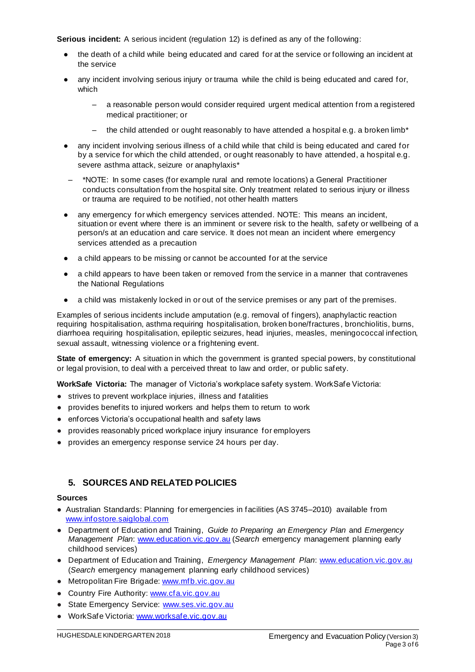**Serious incident:** A serious incident (regulation 12) is defined as any of the following:

- the death of a child while being educated and cared for at the service or following an incident at the service
- any incident involving serious injury or trauma while the child is being educated and cared for, which
	- a reasonable person would consider required urgent medical attention from a registered medical practitioner; or
	- the child attended or ought reasonably to have attended a hospital e.g. a broken limb\*
- any incident involving serious illness of a child while that child is being educated and cared for by a service for which the child attended, or ought reasonably to have attended, a hospital e.g. severe asthma attack, seizure or anaphylaxis\*
- \*NOTE: In some cases (for example rural and remote locations) a General Practitioner conducts consultation from the hospital site. Only treatment related to serious injury or illness or trauma are required to be notified, not other health matters
- any emergency for which emergency services attended. NOTE: This means an incident, situation or event where there is an imminent or severe risk to the health, safety or wellbeing of a person/s at an education and care service. It does not mean an incident where emergency services attended as a precaution
- a child appears to be missing or cannot be accounted for at the service
- a child appears to have been taken or removed from the service in a manner that contravenes the National Regulations
- a child was mistakenly locked in or out of the service premises or any part of the premises.

Examples of serious incidents include amputation (e.g. removal of fingers), anaphylactic reaction requiring hospitalisation, asthma requiring hospitalisation, broken bone/fractures , bronchiolitis, burns, diarrhoea requiring hospitalisation, epileptic seizures, head injuries, measles, meningococcal infection, sexual assault, witnessing violence or a frightening event.

**State of emergency:** A situation in which the government is granted special powers, by constitutional or legal provision, to deal with a perceived threat to law and order, or public safety.

**WorkSafe Victoria:** The manager of Victoria's workplace safety system. WorkSafe Victoria:

- strives to prevent workplace injuries, illness and fatalities
- provides benefits to injured workers and helps them to return to work
- enforces Victoria's occupational health and safety laws
- provides reasonably priced workplace injury insurance for employers
- provides an emergency response service 24 hours per day.

### **5. SOURCES AND RELATED POLICIES**

#### **Sources**

- Australian Standards: Planning for emergencies in facilities (AS 3745–2010) available from www.infostore.saiglobal.com
- Department of Education and Training, *Guide to Preparing an Emergency Plan* and *Emergency Management Plan*: www.education.vic.gov.au (*Search* emergency management planning early childhood services)
- Department of Education and Training, *Emergency Management Plan*: www.education.vic.gov.au (*Search* emergency management planning early childhood services)
- Metropolitan Fire Brigade: www.mfb.vic.gov.au
- Country Fire Authority: www.cfa.vic.gov.au
- State Emergency Service: www.ses.vic.gov.au
- WorkSafe Victoria: www.worksafe.vic.gov.au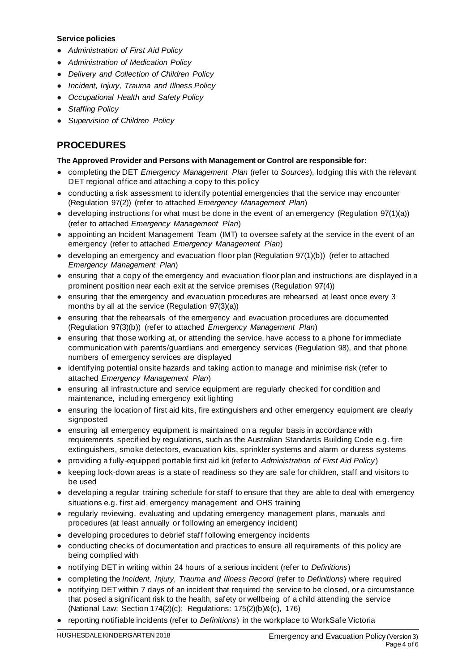### **Service policies**

- *Administration of First Aid Policy*
- *Administration of Medication Policy*
- *Delivery and Collection of Children Policy*
- *Incident, Injury, Trauma and Illness Policy*
- *Occupational Health and Safety Policy*
- *Staffing Policy*
- *Supervision of Children Policy*

# **PROCEDURES**

### **The Approved Provider and Persons with Management or Control are responsible for:**

- completing the DET *Emergency Management Plan* (refer to *Sources*), lodging this with the relevant DET regional office and attaching a copy to this policy
- conducting a risk assessment to identify potential emergencies that the service may encounter (Regulation 97(2)) (refer to attached *Emergency Management Plan*)
- developing instructions for what must be done in the event of an emergency (Regulation 97(1)(a)) (refer to attached *Emergency Management Plan*)
- appointing an Incident Management Team (IMT) to oversee safety at the service in the event of an emergency (refer to attached *Emergency Management Plan*)
- developing an emergency and evacuation floor plan (Regulation 97(1)(b)) (refer to attached *Emergency Management Plan*)
- ensuring that a copy of the emergency and evacuation floor plan and instructions are displayed in a prominent position near each exit at the service premises (Regulation 97(4))
- ensuring that the emergency and evacuation procedures are rehearsed at least once every 3 months by all at the service (Regulation 97(3)(a))
- ensuring that the rehearsals of the emergency and evacuation procedures are documented (Regulation 97(3)(b)) (refer to attached *Emergency Management Plan*)
- ensuring that those working at, or attending the service, have access to a phone for immediate communication with parents/guardians and emergency services (Regulation 98), and that phone numbers of emergency services are displayed
- identifying potential onsite hazards and taking action to manage and minimise risk (refer to attached *Emergency Management Plan*)
- ensuring all infrastructure and service equipment are regularly checked for condition and maintenance, including emergency exit lighting
- ensuring the location of first aid kits, fire extinguishers and other emergency equipment are clearly signposted
- ensuring all emergency equipment is maintained on a regular basis in accordance with requirements specified by regulations, such as the Australian Standards Building Code e.g. fire extinguishers, smoke detectors, evacuation kits, sprinkler systems and alarm or duress systems
- providing a fully-equipped portable first aid kit (refer to *Administration of First Aid Policy*)
- keeping lock-down areas is a state of readiness so they are safe for children, staff and visitors to be used
- developing a regular training schedule for staff to ensure that they are able to deal with emergency situations e.g. first aid, emergency management and OHS training
- regularly reviewing, evaluating and updating emergency management plans, manuals and procedures (at least annually or following an emergency incident)
- developing procedures to debrief staff following emergency incidents
- conducting checks of documentation and practices to ensure all requirements of this policy are being complied with
- notifying DET in writing within 24 hours of a serious incident (refer to *Definitions*)
- completing the *Incident, Injury, Trauma and Illness Record* (refer to *Definitions*) where required
- notifying DET within 7 days of an incident that required the service to be closed, or a circumstance that posed a significant risk to the health, safety or wellbeing of a child attending the service (National Law: Section 174(2)(c); Regulations: 175(2)(b)&(c), 176)
- reporting notifiable incidents (refer to *Definitions*) in the workplace to WorkSafe Victoria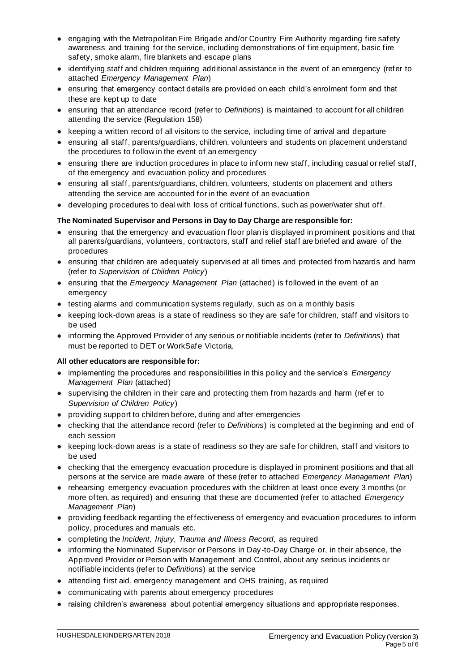- engaging with the Metropolitan Fire Brigade and/or Country Fire Authority regarding fire safety awareness and training for the service, including demonstrations of fire equipment, basic fire safety, smoke alarm, fire blankets and escape plans
- identifying staff and children requiring additional assistance in the event of an emergency (refer to attached *Emergency Management Plan*)
- ensuring that emergency contact details are provided on each child's enrolment form and that these are kept up to date
- ensuring that an attendance record (refer to *Definitions*) is maintained to account for all children attending the service (Regulation 158)
- keeping a written record of all visitors to the service, including time of arrival and departure
- ensuring all staff, parents/guardians, children, volunteers and students on placement understand the procedures to follow in the event of an emergency
- ensuring there are induction procedures in place to inform new staff, including casual or relief staff, of the emergency and evacuation policy and procedures
- ensuring all staff, parents/guardians, children, volunteers, students on placement and others attending the service are accounted for in the event of an evacuation
- developing procedures to deal with loss of critical functions, such as power/water shut off.

### **The Nominated Supervisor and Persons in Day to Day Charge are responsible for:**

- ensuring that the emergency and evacuation floor plan is displayed in prominent positions and that all parents/guardians, volunteers, contractors, staff and relief staff are briefed and aware of the procedures
- ensuring that children are adequately supervised at all times and protected from hazards and harm (refer to *Supervision of Children Policy*)
- ensuring that the *Emergency Management Plan* (attached) is followed in the event of an emergency
- testing alarms and communication systems regularly, such as on a monthly basis
- keeping lock-down areas is a state of readiness so they are safe for children, staff and visitors to be used
- informing the Approved Provider of any serious or notifiable incidents (refer to *Definitions*) that must be reported to DET or WorkSafe Victoria.

#### **All other educators are responsible for:**

- implementing the procedures and responsibilities in this policy and the service's *Emergency Management Plan* (attached)
- supervising the children in their care and protecting them from hazards and harm (ref er to *Supervision of Children Policy*)
- providing support to children before, during and after emergencies
- checking that the attendance record (refer to *Definitions*) is completed at the beginning and end of each session
- keeping lock-down areas is a state of readiness so they are safe for children, staff and visitors to be used
- checking that the emergency evacuation procedure is displayed in prominent positions and that all persons at the service are made aware of these (refer to attached *Emergency Management Plan*)
- rehearsing emergency evacuation procedures with the children at least once every 3 months (or more often, as required) and ensuring that these are documented (refer to attached *Emergency Management Plan*)
- providing feedback regarding the ef fectiveness of emergency and evacuation procedures to inform policy, procedures and manuals etc.
- completing the *Incident, Injury, Trauma and Illness Record*, as required
- informing the Nominated Supervisor or Persons in Day-to-Day Charge or, in their absence, the Approved Provider or Person with Management and Control, about any serious incidents or notifiable incidents (refer to *Definitions*) at the service
- attending first aid, emergency management and OHS training, as required
- communicating with parents about emergency procedures
- raising children's awareness about potential emergency situations and appropriate responses.